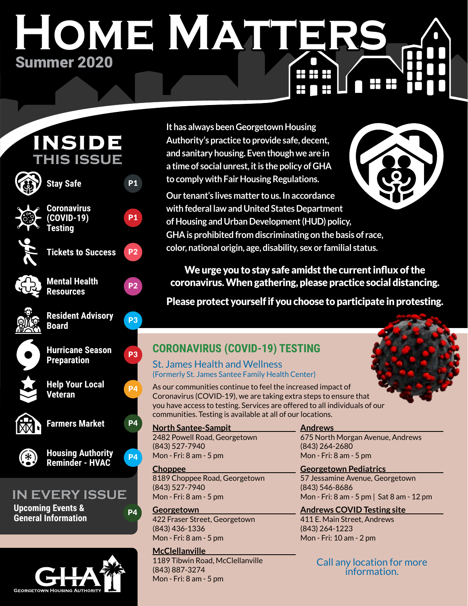# **Home Matters** Summer 2020 88 SS SS 88 BE



**GEORGETOWN HOUSING AUTHORI** 

**It has always been Georgetown Housing Authority's practice to provide safe, decent, and sanitary housing. Even though we are in a time of social unrest, it is the policy of GHA to comply with Fair Housing Regulations.** 



**Our tenant's lives matter to us. In accordance with federal law and United States Department of Housing and Urban Development (HUD) policy, GHA is prohibited from discriminating on the basis of race, color, national origin, age, disability, sex or familial status.**

We urge you to stay safe amidst the current influx of the coronavirus. When gathering, please practice social distancing.

Please protect yourself if you choose to participate in protesting.



## St. James Health and Wellness (Formerly St. James Santee Family Health Center)

As our communities continue to feel the increased impact of Coronavirus (COVID-19), we are taking extra steps to ensure that you have access to testing. Services are offered to all individuals of our communities. Testing is available at all of our locations.

**North Santee-Sampit** 2482 Powell Road, Georgetown (843) 527-7940 Mon - Fri: 8 am - 5 pm

**Choppee** 8189 Choppee Road, Georgetown (843) 527-7940 Mon - Fri: 8 am - 5 pm

**Georgetown** 422 Fraser Street, Georgetown (843) 436-1336 Mon - Fri: 8 am - 5 pm

## **McClellanville**

1189 Tibwin Road, McClellanville (843) 887-3274 Mon - Fri: 8 am - 5 pm

## **Andrews**

675 North Morgan Avenue, Andrews (843) 264-2680 Mon - Fri: 8 am - 5 pm

**Georgetown Pediatrics** 57 Jessamine Avenue, Georgetown (843) 546-8686 Mon - Fri: 8 am - 5 pm | Sat 8 am - 12 pm

**Andrews COVID Testing site** 411 E. Main Street, Andrews (843) 264-1223 Mon - Fri: 10 am - 2 pm

> Call any location for more information.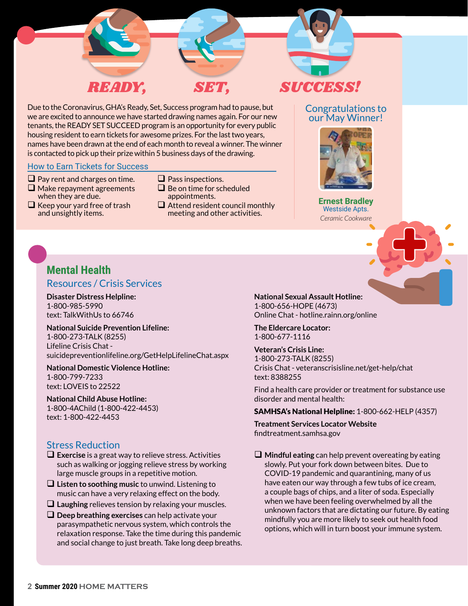

Due to the Coronavirus, GHA's Ready, Set, Success program had to pause, but we are excited to announce we have started drawing names again. For our new tenants, the READY SET SUCCEED program is an opportunity for every public housing resident to earn tickets for awesome prizes. For the last two years, names have been drawn at the end of each month to reveal a winner. The winner is contacted to pick up their prize within 5 business days of the drawing.

#### How to Earn Tickets for Success

- $\Box$  Pay rent and charges on time.
- $\Box$  Make repayment agreements
- when they are due.

 $\Box$  Keep your yard free of trash and unsightly items.

- $\Box$  Pass inspections.
- $\Box$  Be on time for scheduled appointments.
- $\Box$  Attend resident council monthly meeting and other activities.

#### Congratulations to our May Winner!



**Ernest Bradley** Westside Apts. *Ceramic Cookware*

## **Mental Health** Resources / Crisis Services

**Disaster Distress Helpline:** 1-800-985-5990 text: TalkWithUs to 66746

## **National Suicide Prevention Lifeline:** 1-800-273-TALK (8255) Lifeline Crisis Chat -

suicidepreventionlifeline.org/GetHelpLifelineChat.aspx **National Domestic Violence Hotline:**

1-800-799-7233 text: LOVEIS to 22522

**National Child Abuse Hotline:** 1-800-4AChild (1-800-422-4453) text: 1-800-422-4453

## Stress Reduction

- **Exercise** is a great way to relieve stress. Activities such as walking or jogging relieve stress by working large muscle groups in a repetitive motion.
- **Listen to soothing music** to unwind. Listening to music can have a very relaxing effect on the body.
- **Laughing** relieves tension by relaxing your muscles.
- **Q** Deep breathing exercises can help activate your parasympathetic nervous system, which controls the relaxation response. Take the time during this pandemic and social change to just breath. Take long deep breaths.

**National Sexual Assault Hotline:** 1-800-656-HOPE (4673) Online Chat - hotline.rainn.org/online

**The Eldercare Locator:** 1-800-677-1116

**Veteran's Crisis Line:** 1-800-273-TALK (8255) Crisis Chat - veteranscrisisline.net/get-help/chat text: 8388255

Find a health care provider or treatment for substance use disorder and mental health:

SAMHSA's National Helpline: 1-800-662-HELP (4357)

**Treatment Services Locator Website** findtreatment.samhsa.gov

 **Mindful eating** can help prevent overeating by eating slowly. Put your fork down between bites. Due to COVID-19 pandemic and quarantining, many of us have eaten our way through a few tubs of ice cream, a couple bags of chips, and a liter of soda. Especially when we have been feeling overwhelmed by all the unknown factors that are dictating our future. By eating mindfully you are more likely to seek out health food options, which will in turn boost your immune system.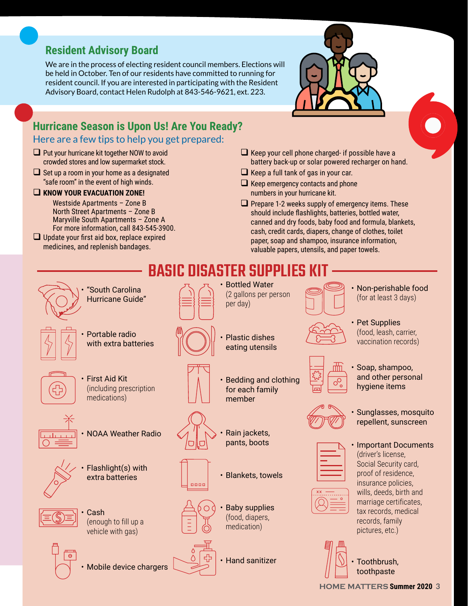## **Resident Advisory Board**

We are in the process of electing resident council members. Elections will be held in October. Ten of our residents have committed to running for resident council. If you are interested in participating with the Resident Advisory Board, contact Helen Rudolph at 843-546-9621, ext. 223.

# **Hurricane Season is Upon Us! Are You Ready?**

## Here are a few tips to help you get prepared:

- $\Box$  Put your hurricane kit together NOW to avoid crowded stores and low supermarket stock.
- $\Box$  Set up a room in your home as a designated "safe room" in the event of high winds.

## **EXAMPLE IN A KNOW YOUR EVACUATION ZONE!**

Westside Apartments – Zone B North Street Apartments – Zone B Maryville South Apartments – Zone A For more information, call 843-545-3900.

 $\Box$  Update your first aid box, replace expired medicines, and replenish bandages.

- 
- $\Box$  Keep your cell phone charged- if possible have a battery back-up or solar powered recharger on hand.
- $\Box$  Keep a full tank of gas in your car.
- $\Box$  Keep emergency contacts and phone numbers in your hurricane kit.
- $\Box$  Prepare 1-2 weeks supply of emergency items. These should include flashlights, batteries, bottled water, canned and dry foods, baby food and formula, blankets, cash, credit cards, diapers, change of clothes, toilet paper, soap and shampoo, insurance information, valuable papers, utensils, and paper towels.





Mobile device chargers



• Hand sanitizer

- 
- and other personal
- Sunglasses, mosquito repellent, sunscreen
- Important Documents wills, deeds, birth and marriage certificates,



• Toothbrush, toothpaste